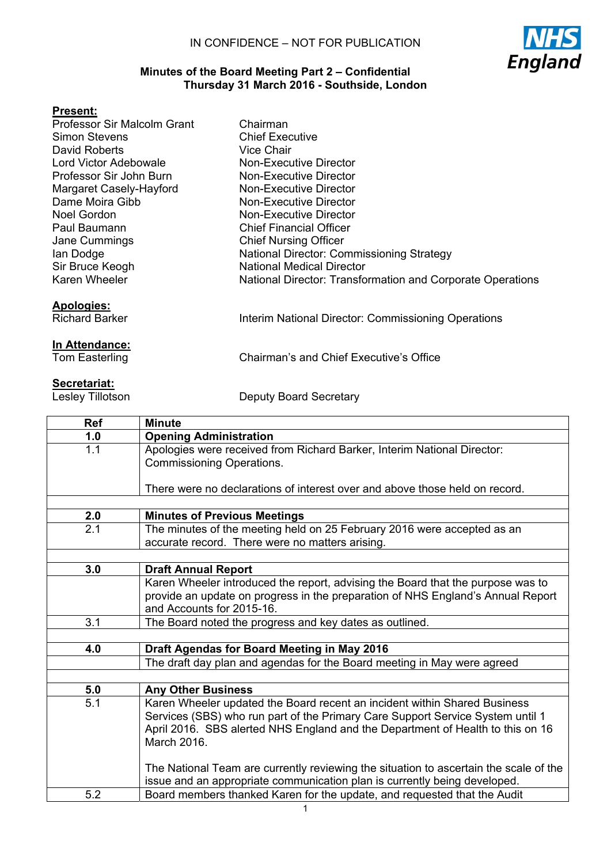

## **Minutes of the Board Meeting Part 2 – Confidential Thursday 31 March 2016 - Southside, London**

## **Present:**

| Professor Sir Malcolm Grant                | Chairman                                                   |
|--------------------------------------------|------------------------------------------------------------|
| <b>Simon Stevens</b>                       | <b>Chief Executive</b>                                     |
| David Roberts                              | <b>Vice Chair</b>                                          |
| Lord Victor Adebowale                      | <b>Non-Executive Director</b>                              |
| Professor Sir John Burn                    | <b>Non-Executive Director</b>                              |
| Margaret Casely-Hayford                    | Non-Executive Director                                     |
| Dame Moira Gibb                            | Non-Executive Director                                     |
| Noel Gordon                                | Non-Executive Director                                     |
| Paul Baumann                               | <b>Chief Financial Officer</b>                             |
| Jane Cummings                              | <b>Chief Nursing Officer</b>                               |
| lan Dodge                                  | <b>National Director: Commissioning Strategy</b>           |
| Sir Bruce Keogh                            | <b>National Medical Director</b>                           |
| Karen Wheeler                              | National Director: Transformation and Corporate Operations |
|                                            |                                                            |
| <b>Apologies:</b><br><b>Richard Barker</b> | Interim National Director: Commissioning Operations        |
|                                            |                                                            |
| In Attendance:                             |                                                            |
| Tom Easterling                             | Chairman's and Chief Executive's Office                    |
|                                            |                                                            |

Secretariat:<br>Lesley Tillotson

Deputy Board Secretary

| <b>Ref</b>       | <b>Minute</b>                                                                         |
|------------------|---------------------------------------------------------------------------------------|
| 1.0              | <b>Opening Administration</b>                                                         |
| 1.1              | Apologies were received from Richard Barker, Interim National Director:               |
|                  | <b>Commissioning Operations.</b>                                                      |
|                  |                                                                                       |
|                  | There were no declarations of interest over and above those held on record.           |
|                  |                                                                                       |
| 2.0              | <b>Minutes of Previous Meetings</b>                                                   |
| $\overline{2.1}$ | The minutes of the meeting held on 25 February 2016 were accepted as an               |
|                  | accurate record. There were no matters arising.                                       |
|                  |                                                                                       |
| 3.0              | <b>Draft Annual Report</b>                                                            |
|                  | Karen Wheeler introduced the report, advising the Board that the purpose was to       |
|                  | provide an update on progress in the preparation of NHS England's Annual Report       |
|                  | and Accounts for 2015-16.                                                             |
| 3.1              | The Board noted the progress and key dates as outlined.                               |
|                  |                                                                                       |
| 4.0              | Draft Agendas for Board Meeting in May 2016                                           |
|                  | The draft day plan and agendas for the Board meeting in May were agreed               |
|                  |                                                                                       |
| 5.0              | <b>Any Other Business</b>                                                             |
| 5.1              | Karen Wheeler updated the Board recent an incident within Shared Business             |
|                  | Services (SBS) who run part of the Primary Care Support Service System until 1        |
|                  | April 2016. SBS alerted NHS England and the Department of Health to this on 16        |
|                  | March 2016.                                                                           |
|                  |                                                                                       |
|                  | The National Team are currently reviewing the situation to ascertain the scale of the |
|                  | issue and an appropriate communication plan is currently being developed.             |
| 5.2              | Board members thanked Karen for the update, and requested that the Audit              |